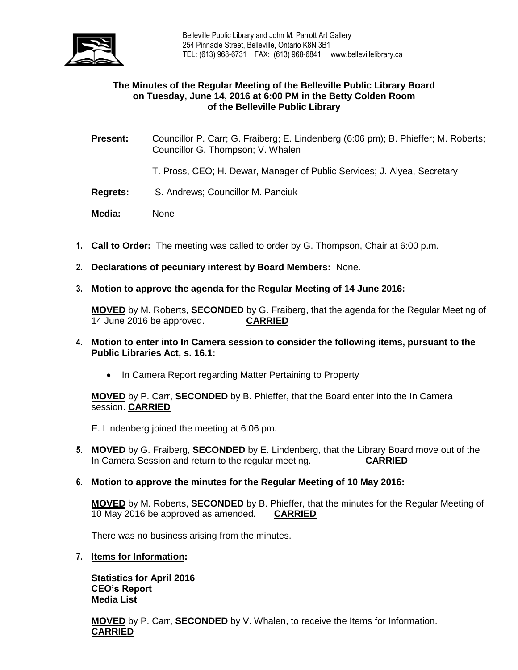

# **The Minutes of the Regular Meeting of the Belleville Public Library Board on Tuesday, June 14, 2016 at 6:00 PM in the Betty Colden Room of the Belleville Public Library**

- **Present:** Councillor P. Carr; G. Fraiberg; E. Lindenberg (6:06 pm); B. Phieffer; M. Roberts; Councillor G. Thompson; V. Whalen
	- T. Pross, CEO; H. Dewar, Manager of Public Services; J. Alyea, Secretary
- **Regrets:** S. Andrews; Councillor M. Panciuk
- **Media:** None
- **1. Call to Order:** The meeting was called to order by G. Thompson, Chair at 6:00 p.m.
- **2. Declarations of pecuniary interest by Board Members:** None.
- **3. Motion to approve the agenda for the Regular Meeting of 14 June 2016:**

**MOVED** by M. Roberts, **SECONDED** by G. Fraiberg, that the agenda for the Regular Meeting of 14 June 2016 be approved. **CARRIED**

- **4. Motion to enter into In Camera session to consider the following items, pursuant to the Public Libraries Act, s. 16.1:** 
	- In Camera Report regarding Matter Pertaining to Property

**MOVED** by P. Carr, **SECONDED** by B. Phieffer, that the Board enter into the In Camera session. **CARRIED**

E. Lindenberg joined the meeting at 6:06 pm.

- **5. MOVED** by G. Fraiberg, **SECONDED** by E. Lindenberg, that the Library Board move out of the In Camera Session and return to the regular meeting. **CARRIED**
- **6. Motion to approve the minutes for the Regular Meeting of 10 May 2016:**

**MOVED** by M. Roberts, **SECONDED** by B. Phieffer, that the minutes for the Regular Meeting of 10 May 2016 be approved as amended. **CARRIED**

There was no business arising from the minutes.

**7. Items for Information:**

**Statistics for April 2016 CEO's Report Media List**

**MOVED** by P. Carr, **SECONDED** by V. Whalen, to receive the Items for Information. **CARRIED**